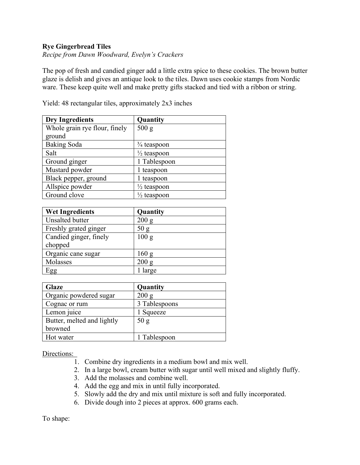## **Rye Gingerbread Tiles**

*Recipe from Dawn Woodward, Evelyn's Crackers*

The pop of fresh and candied ginger add a little extra spice to these cookies. The brown butter glaze is delish and gives an antique look to the tiles. Dawn uses cookie stamps from Nordic ware. These keep quite well and make pretty gifts stacked and tied with a ribbon or string.

| <b>Dry Ingredients</b>        | Quantity               |
|-------------------------------|------------------------|
| Whole grain rye flour, finely | 500 g                  |
| ground                        |                        |
| <b>Baking Soda</b>            | $\frac{3}{4}$ teaspoon |
| Salt                          | $\frac{1}{2}$ teaspoon |
| Ground ginger                 | 1 Tablespoon           |
| Mustard powder                | 1 teaspoon             |
| Black pepper, ground          | 1 teaspoon             |
| Allspice powder               | $\frac{1}{2}$ teaspoon |
| Ground clove                  | $\frac{1}{2}$ teaspoon |

Yield: 48 rectangular tiles, approximately 2x3 inches

| <b>Wet Ingredients</b> | Quantity |
|------------------------|----------|
| Unsalted butter        | 200 g    |
| Freshly grated ginger  | 50 g     |
| Candied ginger, finely | 100 g    |
| chopped                |          |
| Organic cane sugar     | 160 g    |
| Molasses               | 200 g    |
| Egg                    | 1 large  |

| <b>Glaze</b>               | Quantity      |
|----------------------------|---------------|
| Organic powdered sugar     | 200 g         |
| Cognac or rum              | 3 Tablespoons |
| Lemon juice                | Squeeze       |
| Butter, melted and lightly | 50 g          |
| browned                    |               |
| Hot water                  | 1 Tablespoon  |

Directions:

- 1. Combine dry ingredients in a medium bowl and mix well.
- 2. In a large bowl, cream butter with sugar until well mixed and slightly fluffy.
- 3. Add the molasses and combine well.
- 4. Add the egg and mix in until fully incorporated.
- 5. Slowly add the dry and mix until mixture is soft and fully incorporated.
- 6. Divide dough into 2 pieces at approx. 600 grams each.

To shape: